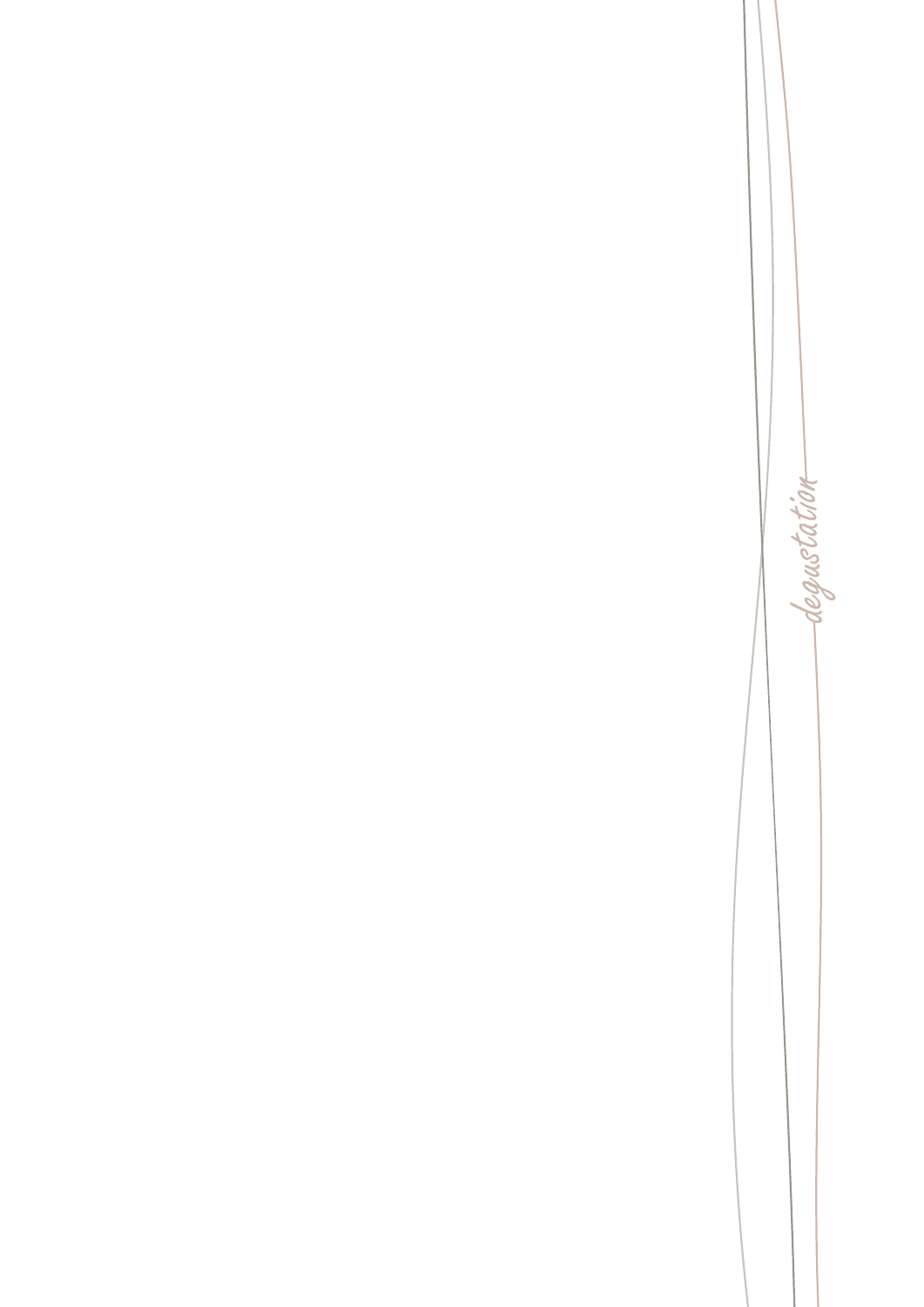degustation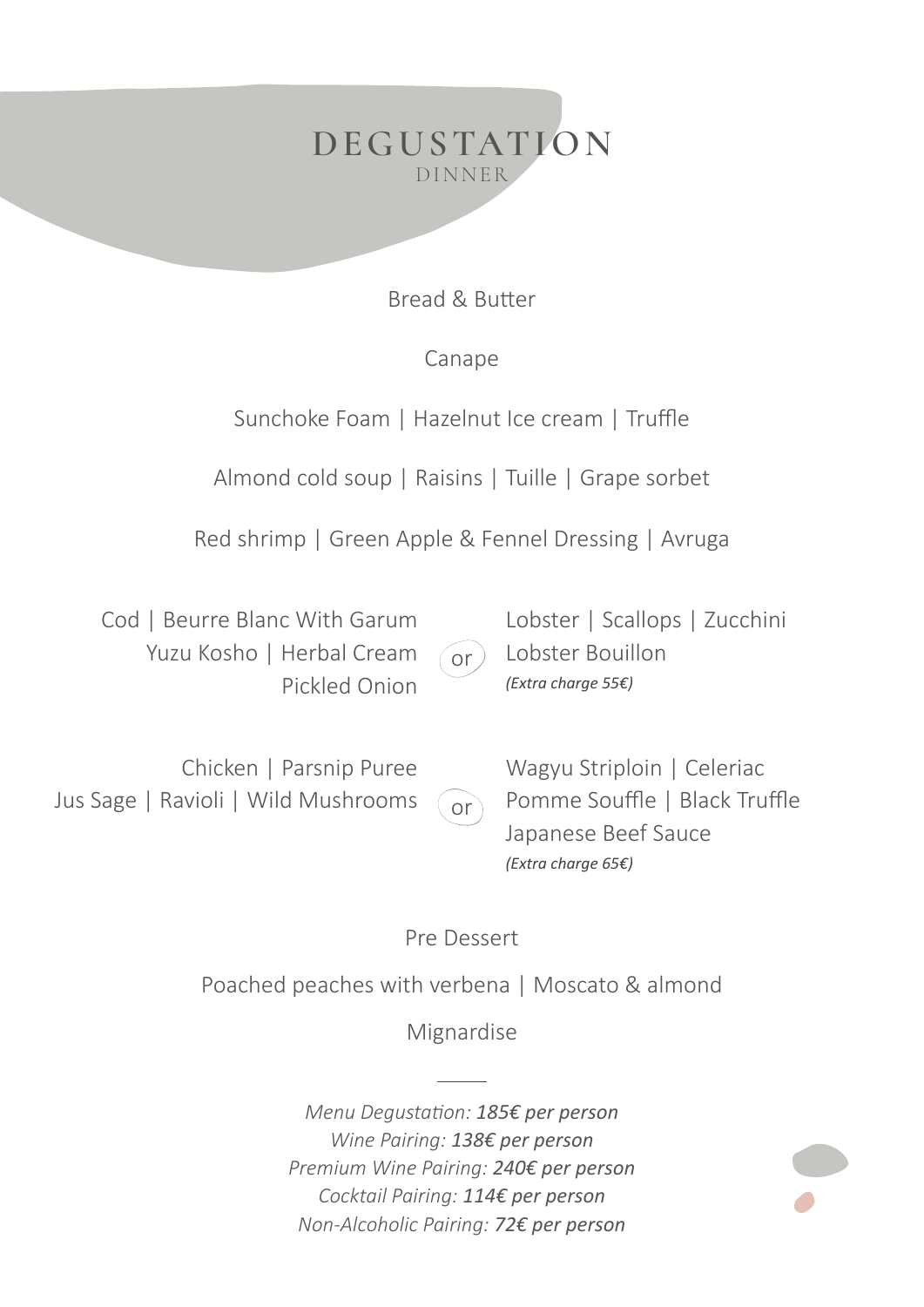

Bread & Butter

## Canape

Sunchoke Foam | Hazelnut Ice cream | Truffle

Almond cold soup | Raisins | Tuille | Grape sorbet

Red shrimp | Green Apple & Fennel Dressing | Avruga

 Cod | Beurre Blanc With Garum Yuzu Kosho | Herbal Cream Pickled Onion

 $\sigma$ 

Lobster | Scallops | Zucchini Lobster Bouillon *(Extra charge 55€)*

Chicken | Parsnip Puree Jus Sage | Ravioli | Wild Mushrooms  $or$ Wagyu Striploin | Celeriac Pomme Souffle | Black Truffle Japanese Beef Sauce *(Extra charge 65€)*

Pre Dessert

Poached peaches with verbena | Moscato & almond

Mignardise

*Menu Degustation: 185€ per person Wine Pairing: 138€ per person Premium Wine Pairing: 240€ per person Cocktail Pairing: 114€ per person Non-Alcoholic Pairing: 72€ per person*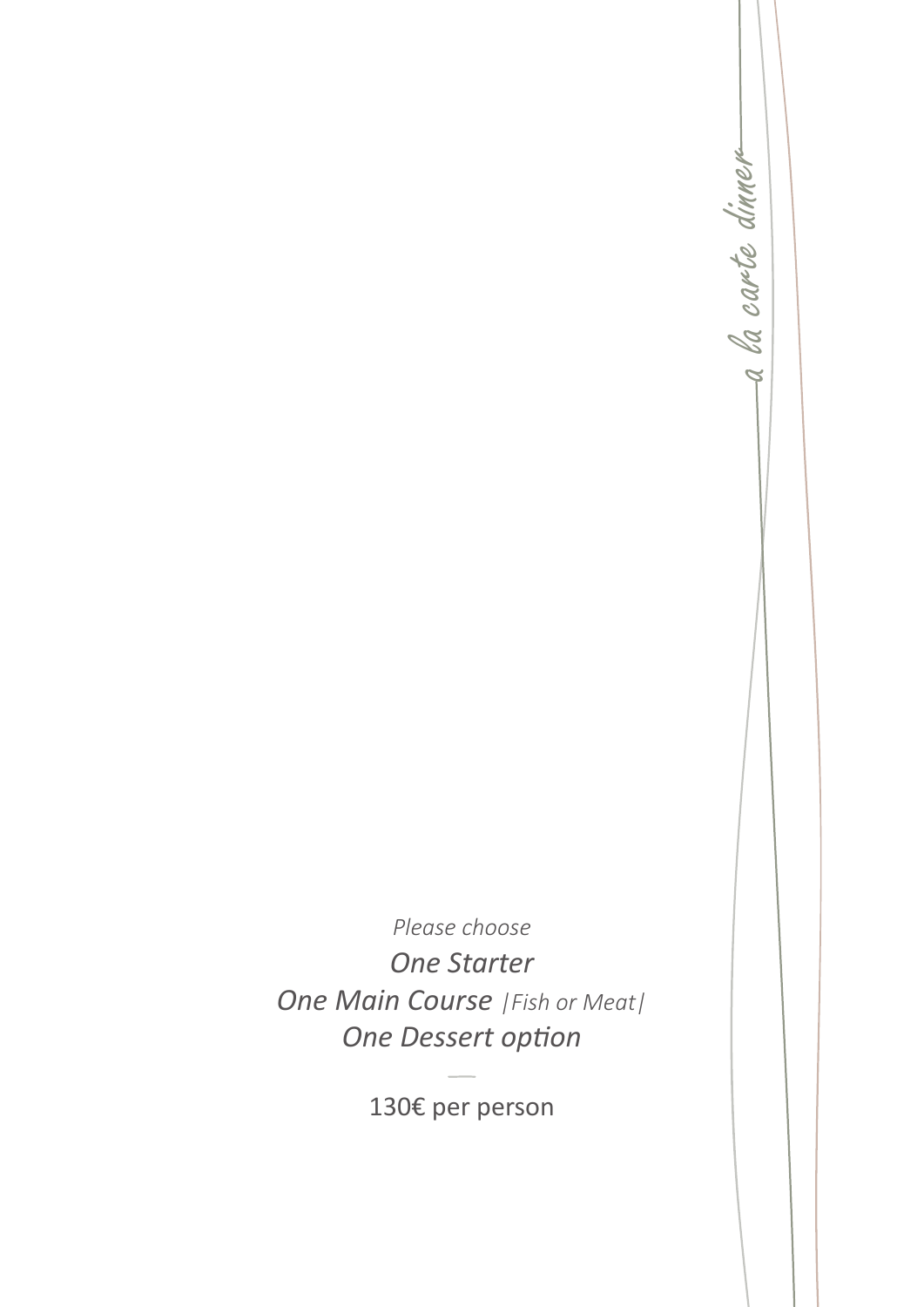-a la carte dinnera la carte dinner

*Please choose One Starter One Main Course |Fish or Meat| One Dessert option*

130€ per person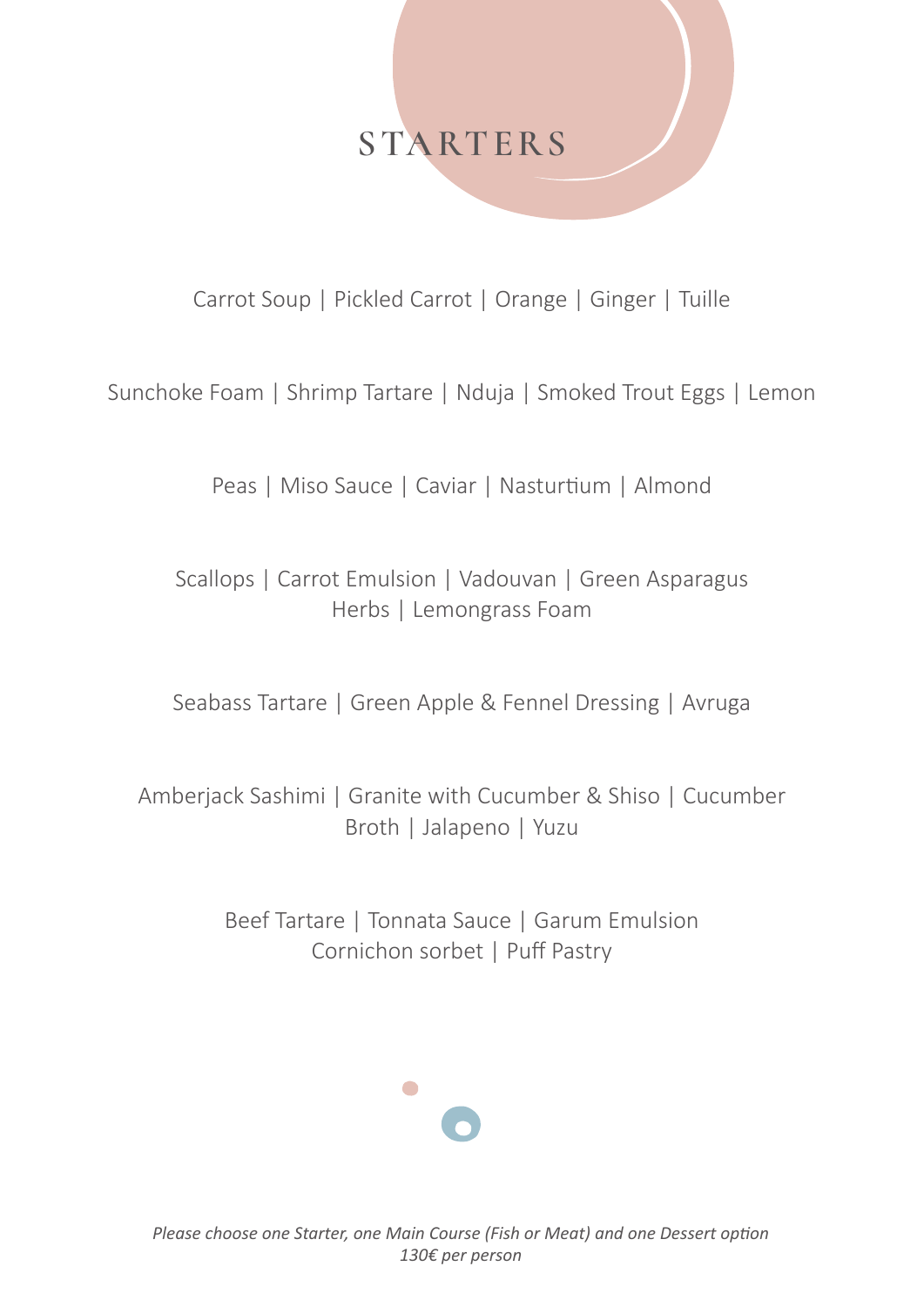## **STARTERS**

Carrot Soup | Pickled Carrot | Orange | Ginger | Tuille

Sunchoke Foam | Shrimp Tartare | Nduja | Smoked Trout Eggs | Lemon

Peas | Miso Sauce | Caviar | Nasturtium | Almond

Scallops | Carrot Emulsion | Vadouvan | Green Asparagus Herbs | Lemongrass Foam

Seabass Tartare | Green Apple & Fennel Dressing | Avruga

Amberjack Sashimi | Granite with Cucumber & Shiso | Cucumber Broth | Jalapeno | Yuzu

> Beef Tartare | Tonnata Sauce | Garum Emulsion Cornichon sorbet | Puff Pastry

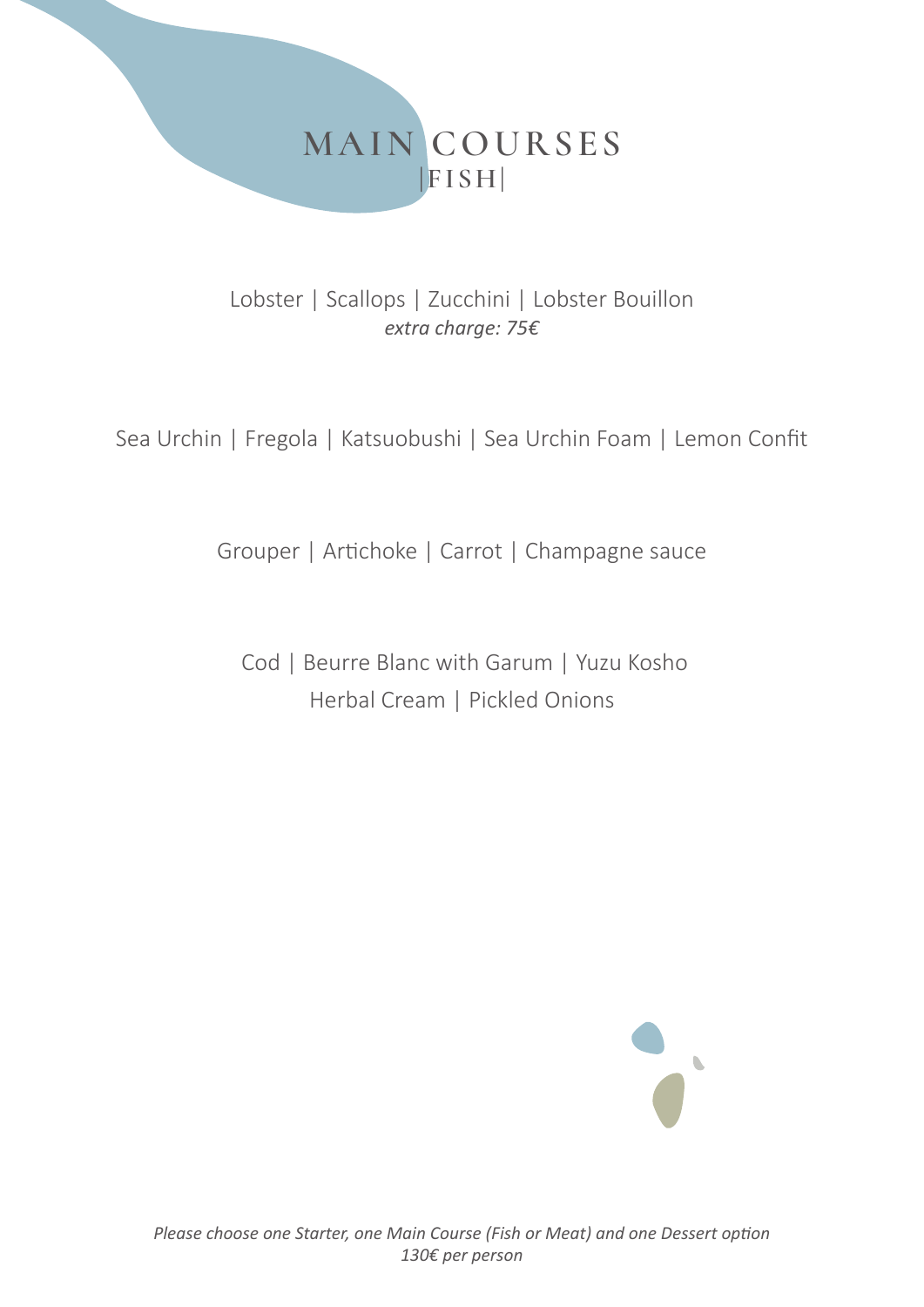

Lobster | Scallops | Zucchini | Lobster Bouillon *extra charge: 75€*

Sea Urchin | Fregola | Katsuobushi | Sea Urchin Foam | Lemon Confit

Grouper | Artichoke | Carrot | Champagne sauce

 Cod | Beurre Blanc with Garum | Yuzu Kosho Herbal Cream | Pickled Onions

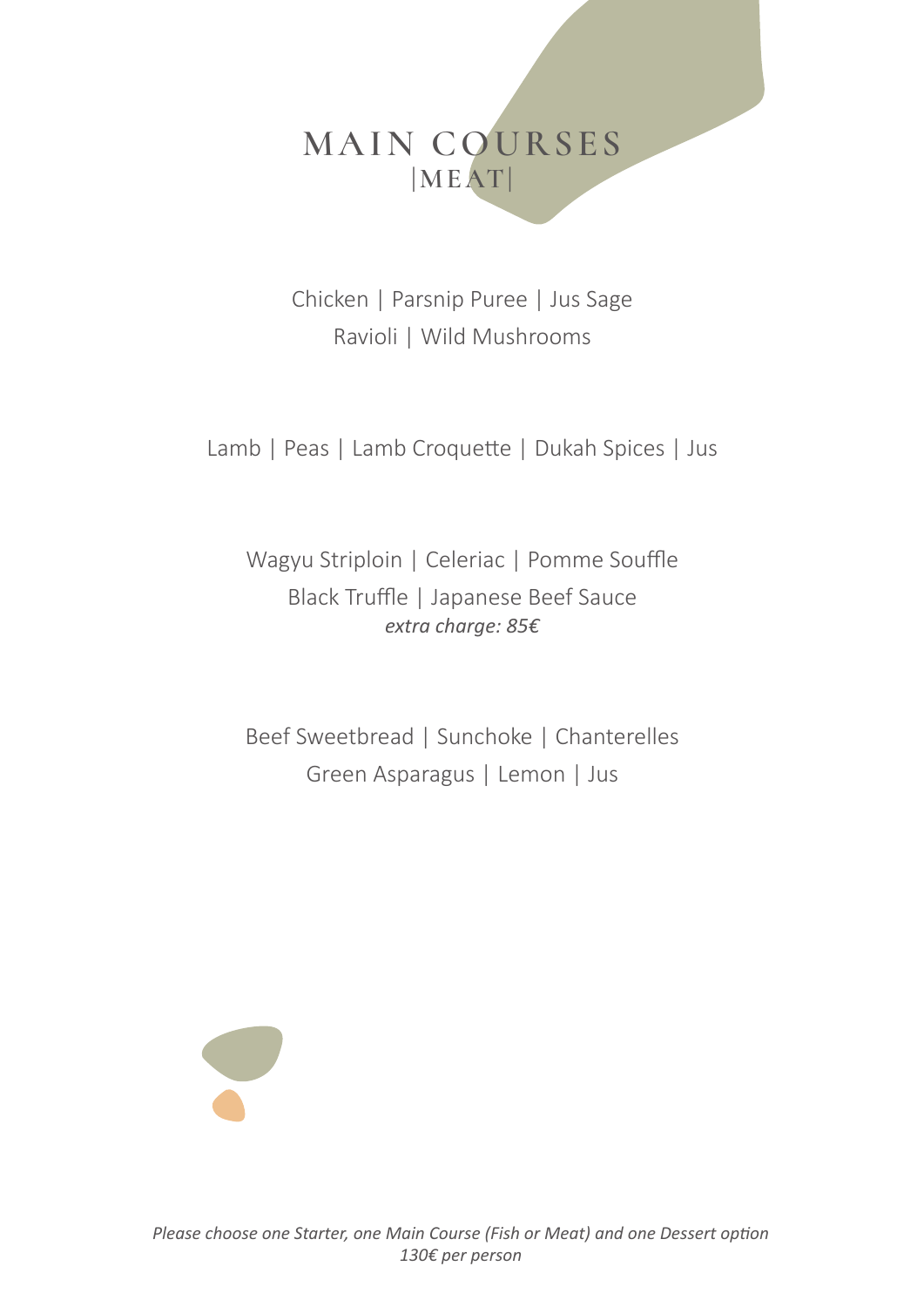## **MAIN COURSES |MEAT|**

Chicken | Parsnip Puree | Jus Sage Ravioli | Wild Mushrooms

Lamb | Peas | Lamb Croquette | Dukah Spices | Jus

Wagyu Striploin | Celeriac | Pomme Souffle Black Truffle | Japanese Beef Sauce *extra charge: 85€*

Beef Sweetbread | Sunchoke | Chanterelles Green Asparagus | Lemon | Jus

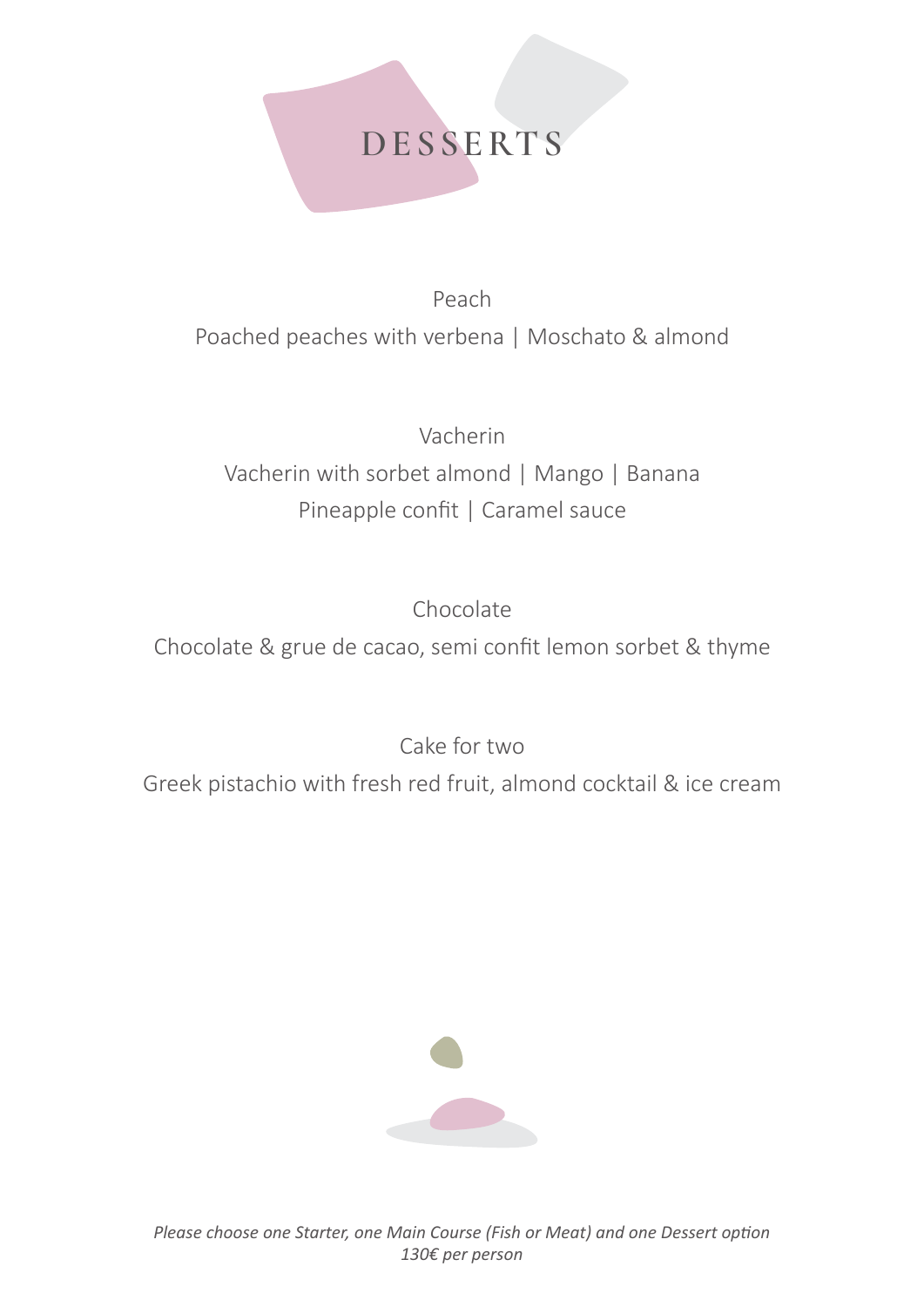## **DESSERTS**

Peach Poached peaches with verbena | Moschato & almond

Vacherin Vacherin with sorbet almond | Mango | Banana Pineapple confit | Caramel sauce

Chocolate

Chocolate & grue de cacao, semi confit lemon sorbet & thyme

Cake for two

Greek pistachio with fresh red fruit, almond cocktail & ice cream



*Please choose one Starter, one Main Course (Fish or Meat) and one Dessert option 130€ per person*